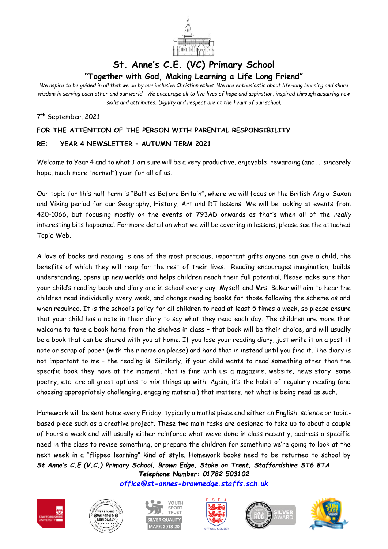

## **St. Anne's C.E. (VC) Primary School "Together with God, Making Learning a Life Long Friend"**

*We aspire to be guided in all that we do by our inclusive Christian ethos. We are enthusiastic about life-long learning and share wisdom in serving each other and our world. We encourage all to live lives of hope and aspiration, inspired through acquiring new skills and attributes. Dignity and respect are at the heart of our school.*

7 th September, 2021

## **FOR THE ATTENTION OF THE PERSON WITH PARENTAL RESPONSIBILITY**

## **RE: YEAR 4 NEWSLETTER – AUTUMN TERM 2021**

Welcome to Year 4 and to what I am sure will be a very productive, enjoyable, rewarding (and, I sincerely hope, much more "normal") year for all of us.

Our topic for this half term is "Battles Before Britain", where we will focus on the British Anglo-Saxon and Viking period for our Geography, History, Art and DT lessons. We will be looking at events from 420-1066, but focusing mostly on the events of 793AD onwards as that's when all of the *really* interesting bits happened. For more detail on what we will be covering in lessons, please see the attached Topic Web.

A love of books and reading is one of the most precious, important gifts anyone can give a child, the benefits of which they will reap for the rest of their lives. Reading encourages imagination, builds understanding, opens up new worlds and helps children reach their full potential. Please make sure that your child's reading book and diary are in school every day. Myself and Mrs. Baker will aim to hear the children read individually every week, and change reading books for those following the scheme as and when required. It is the school's policy for all children to read at least 5 times a week, so please ensure that your child has a note in their diary to say what they read each day. The children are more than welcome to take a book home from the shelves in class – that book will be their choice, and will usually be a book that can be shared with you at home. If you lose your reading diary, just write it on a post-it note or scrap of paper (with their name on please) and hand that in instead until you find it. The diary is not important to me – the reading is! Similarly, if your child wants to read something other than the specific book they have at the moment, that is fine with us: a magazine, website, news story, some poetry, etc. are all great options to mix things up with. Again, it's the habit of regularly reading (and choosing appropriately challenging, engaging material) that matters, not what is being read as such.

*St Anne's C.E (V.C.) Primary School, Brown Edge, Stoke on Trent, Staffordshire ST6 8TA* Homework will be sent home every Friday: typically a maths piece and either an English, science or topicbased piece such as a creative project. These two main tasks are designed to take up to about a couple of hours a week and will usually either reinforce what we've done in class recently, address a specific need in the class to revise something, or prepare the children for something we're going to look at the next week in a "flipped learning" kind of style. Homework books need to be returned to school by

*Telephone Number: 01782 503102 [office@st-annes-brownedge.staffs.sch.uk](mailto:office@st-annes-brownedge.staffs.sch.uk)*